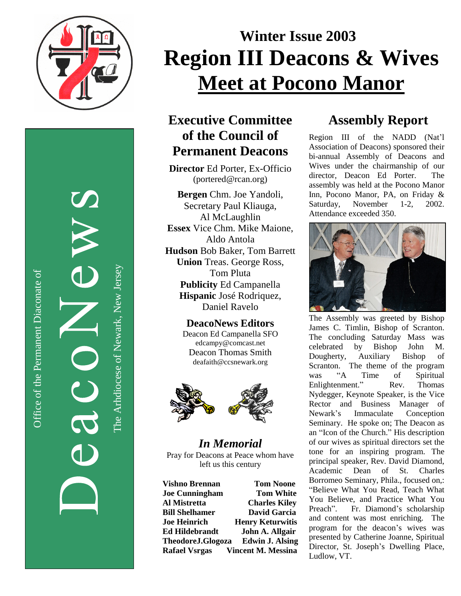

Office of the Permanent Diaconate of Office of the Permanent Diaconate of

The Arhdiocese of Newark, New JerseyThe Arhdiocese of Newark, New Jersey

# Winter Issue 2003 **Region III Deacons & Wives Meet at Pocono Manor**

## Executive Committee of the Council of **Permanent Deacons**

Director Ed Porter, Ex-Officio (portered@rcan.org)

Bergen Chm. Joe Yandoli, Secretary Paul Kliauga, Al McLaughlin **Essex** Vice Chm. Mike Maione, Aldo Antola Hudson Bob Baker, Tom Barrett Union Treas. George Ross, Tom Pluta Publicity Ed Campanella Hispanic José Rodriquez, Daniel Ravelo

### **DeacoNews Editors**

Deacon Ed Campanella SFO edcampy@comcast.net Deacon Thomas Smith deafaith@ccsnewark.org



*In Me m o r ia l* Pray for Deacons at Peace whom have left us this century

**Vishno Brennan Tom Noone Joe Cunningham T o m W h i t e** Al Mistretta **Charles Kiley Bill Shelhamer D**avid Garcia **Joe** Heinrich **Henry Keturwitis** Ed Hildebrandt **John A. Allgair TheodoreJ.Glogoza** Edwin J. Alsing **Rafael Vsrgas** Vincent M. Messina

# Assembly Report

Region III of the NADD (Nat'l Association of Deacons) sponsored their bi-annual Assembly of Deacons and Wives under the chairmanship of our director, Deacon Ed Porter. T h e assembly was held at the Pocono Manor Inn, Pocono Manor, PA, on Friday & Saturday, November 1 - 2 , 2002. Attendance exceeded 350.



The Assembly was greeted by Bishop James C. Timlin, Bishop of Scranton. The concluding Saturday Mass was celebrated b y **Bishop** J o h n M. Dougherty, **Auxiliary Bishop** o f Scranton. The theme of the program was " A **Time** o f Spiritual Enlightenment." Rev. **Thomas** Nydegger, Keynote Speaker, is the Vice Rector and Business Manager of Newark's Immaculate Conception Seminary. He spoke on; The Deacon as an "Icon of the Church." His description of our wives as spiritual directors set the tone for an inspiring program. The principal speaker, Rev. David Diamond, Academic Dean of St. Charles Borromeo Seminary, Phila., focused on,: "Believe What You Read, Teach What You Believe, and Practice What You Preach". Fr. Diamond's scholarship and content was most enriching. The program for the deacon's wives was presented by Catherine Joanne, Spiritual Director, St. Joseph's Dwelling Place, Ludlow, VT.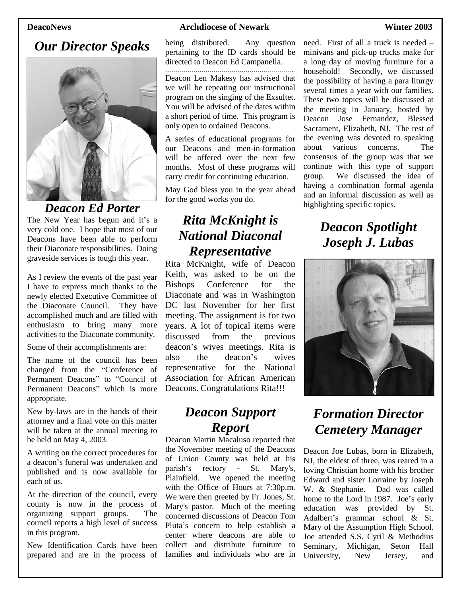### *Our Director Speaks*



*Deacon Ed Porter*

The New Year has begun and it's a very cold one. I hope that most of our Deacons have been able to perform their Diaconate responsibilities. Doing graveside services is tough this year.

As I review the events of the past year I have to express much thanks to the newly elected Executive Committee of the Diaconate Council. They have accomplished much and are filled with enthusiasm to bring many more activities to the Diaconate community.

Some of their accomplishments are:

The name of the council has been changed from the "Conference of Permanent Deacons" to "Council of Permanent Deacons" which is more appropriate.

New by-laws are in the hands of their attorney and a final vote on this matter will be taken at the annual meeting to be held on May 4, 2003.

A writing on the correct procedures for a deacon's funeral was undertaken and published and is now available for each of us.

At the direction of the council, every county is now in the process of organizing support groups. The council reports a high level of success in this program.

New Identification Cards have been prepared and are in the process of

### **DeacoNews Archdiocese of Newark Winter 2003**

being distributed. Any question pertaining to the ID cards should be directed to Deacon Ed Campanella. ……………………………………<sup>…</sup>

Deacon Len Makesy has advised that we will be repeating our instructional program on the singing of the Exsultet. You will be advised of the dates within a short period of time. This program is only open to ordained Deacons.

A series of educational programs for our Deacons and men-in-formation will be offered over the next few months. Most of these programs will carry credit for continuing education.

May God bless you in the year ahead for the good works you do.

### *Rita McKnight is National Diaconal Representative*

Rita McKnight, wife of Deacon Keith, was asked to be on the Bishops Conference for the Diaconate and was in Washington DC last November for her first meeting. The assignment is for two years. A lot of topical items were discussed from the previous deacon's wives meetings. Rita is also the deacon's wives representative for the National Association for African American Deacons. Congratulations Rita!!!

### *Deacon Support Report*

Deacon Martin Macaluso reported that the November meeting of the Deacons of Union County was held at his parish's rectory - St. Mary's, Plainfield. We opened the meeting with the Office of Hours at 7:30p.m. We were then greeted by Fr. Jones, St. Mary's pastor. Much of the meeting concerned discussions of Deacon Tom Pluta's concern to help establish a center where deacons are able to collect and distribute furniture to families and individuals who are in need. First of all a truck is needed – minivans and pick-up trucks make for a long day of moving furniture for a household! Secondly, we discussed the possibility of having a para liturgy several times a year with our families. These two topics will be discussed at the meeting in January, hosted by Deacon Jose Fernandez, Blessed Sacrament, Elizabeth, NJ. The rest of the evening was devoted to speaking about various concerns. The consensus of the group was that we continue with this type of support group. We discussed the idea of having a combination formal agenda and an informal discussion as well as highlighting specific topics.

# *Deacon Spotlight Joseph J. Lubas*



# *Formation Director Cemetery Manager*

Deacon Joe Lubas, born in Elizabeth, NJ, the eldest of three, was reared in a loving Christian home with his brother Edward and sister Lorraine by Joseph W. & Stephanie. Dad was called home to the Lord in 1987. Joe's early education was provided by St. Adalbert's grammar school & St. Mary of the Assumption High School. Joe attended S.S. Cyril & Methodius Seminary, Michigan, Seton Hall University, New Jersey, and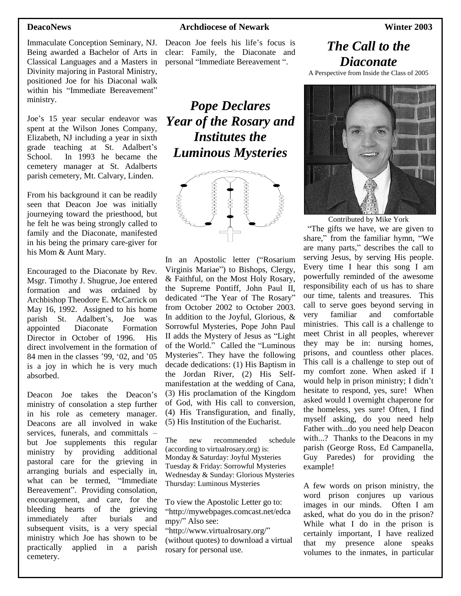Immaculate Conception Seminary, NJ. Being awarded a Bachelor of Arts in Classical Languages and a Masters in Divinity majoring in Pastoral Ministry, positioned Joe for his Diaconal walk within his "Immediate Bereavement" ministry.

Joe's 15 year secular endeavor was spent at the Wilson Jones Company, Elizabeth, NJ including a year in sixth grade teaching at St. Adalbert's School. In 1993 he became the cemetery manager at St. Adalberts parish cemetery, Mt. Calvary, Linden.

From his background it can be readily seen that Deacon Joe was initially journeying toward the priesthood, but he felt he was being strongly called to family and the Diaconate, manifested in his being the primary care-giver for his Mom & Aunt Mary.

Encouraged to the Diaconate by Rev. Msgr. Timothy J. Shugrue, Joe entered formation and was ordained by Archbishop Theodore E. McCarrick on May 16, 1992. Assigned to his home parish St. Adalbert's, Joe was appointed Diaconate Formation Director in October of 1996. His direct involvement in the formation of 84 men in the classes '99, '02, and '05 is a joy in which he is very much absorbed.

Deacon Joe takes the Deacon's ministry of consolation a step further in his role as cemetery manager. Deacons are all involved in wake services, funerals, and committals – but Joe supplements this regular ministry by providing additional pastoral care for the grieving in arranging burials and especially in, what can be termed, "Immediate Bereavement". Providing consolation, encouragement, and care, for the bleeding hearts of the grieving immediately after burials and subsequent visits, is a very special ministry which Joe has shown to be practically applied in a parish cemetery.

### **DeacoNews Archdiocese of Newark Winter 2003**

Deacon Joe feels his life's focus is clear: Family, the Diaconate and personal "Immediate Bereavement ".

*Pope Declares Year of the Rosary and Institutes the Luminous Mysteries*



In an Apostolic letter ("Rosarium Virginis Mariae") to Bishops, Clergy, & Faithful, on the Most Holy Rosary, the Supreme Pontiff, John Paul II, dedicated "The Year of The Rosary" from October 2002 to October 2003. In addition to the Joyful, Glorious, & Sorrowful Mysteries, Pope John Paul II adds the Mystery of Jesus as "Light of the World." Called the "Luminous Mysteries". They have the following decade dedications: (1) His Baptism in the Jordan River, (2) His Selfmanifestation at the wedding of Cana, (3) His proclamation of the Kingdom of God, with His call to conversion, (4) His Transfiguration, and finally, (5) His Institution of the Eucharist.

The new recommended schedule (according to virtualrosary.org) is: Monday & Saturday: Joyful Mysteries Tuesday & Friday: Sorrowful Mysteries Wednesday & Sunday: Glorious Mysteries Thursday: Luminous Mysteries

To view the Apostolic Letter go to: "http://mywebpages.comcast.net/edca mpy/"Also see:

"http://www.virtualrosary.org/" (without quotes) to download a virtual rosary for personal use.

### *The Call to the Diaconate*

A Perspective from Inside the Class of 2005



Contributed by Mike York

"The gifts we have, we are given to share," from the familiar hymn, "We are many parts,"describes the call to serving Jesus, by serving His people. Every time I hear this song I am powerfully reminded of the awesome responsibility each of us has to share our time, talents and treasures. This call to serve goes beyond serving in very familiar and comfortable ministries. This call is a challenge to meet Christ in all peoples, wherever they may be in: nursing homes, prisons, and countless other places. This call is a challenge to step out of my comfort zone. When asked if I would help in prison ministry; I didn't hesitate to respond, yes, sure! When asked would I overnight chaperone for the homeless, yes sure! Often, I find myself asking, do you need help Father with...do you need help Deacon with...? Thanks to the Deacons in my parish (George Ross, Ed Campanella, Guy Paredes) for providing the example!

A few words on prison ministry, the word prison conjures up various images in our minds. Often I am asked, what do you do in the prison? While what I do in the prison is certainly important, I have realized that my presence alone speaks volumes to the inmates, in particular